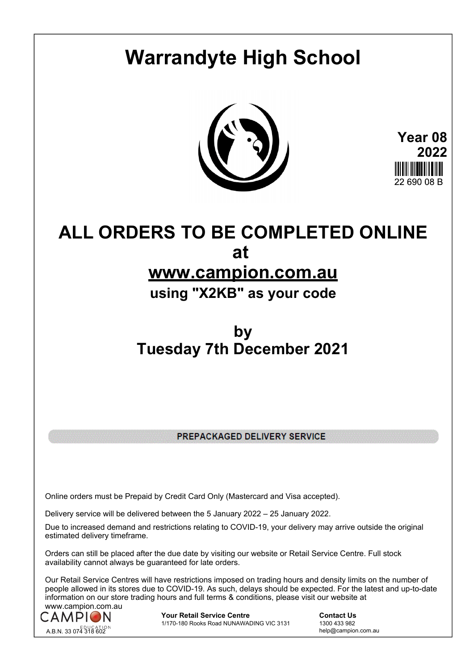# **Warrandyte High School**



**Year 08 2022** 22.690.08.B

# **ALL ORDERS TO BE COMPLETED ONLINE at**

# **www.campion.com.au**

# **using "X2KB" as your code**

# **by Tuesday 7th December 2021**

PREPACKAGED DELIVERY SERVICE

Online orders must be Prepaid by Credit Card Only (Mastercard and Visa accepted).

Delivery service will be delivered between the 5 January 2022 – 25 January 2022.

Due to increased demand and restrictions relating to COVID-19, your delivery may arrive outside the original estimated delivery timeframe.

Orders can still be placed after the due date by visiting our website or Retail Service Centre. Full stock availability cannot always be guaranteed for late orders.

Our Retail Service Centres will have restrictions imposed on trading hours and density limits on the number of people allowed in its stores due to COVID-19. As such, delays should be expected. For the latest and up-to-date information on our store trading hours and full terms & conditions, please visit our website at www.campion.com.au



**Your Retail Service Centre Contact Us**<br>
1770-180 Rooks Road NUNAWADING VIC 3131
1300 433 982 1/170-180 Rooks Road NUNAWADING VIC 3131

help@campion.com.au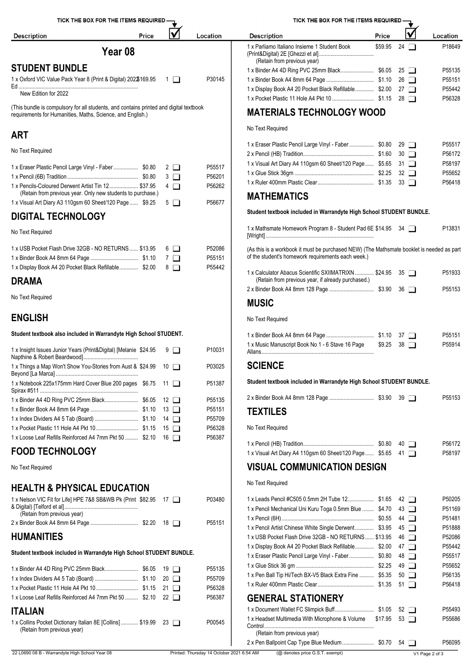

#### **ART**

No Text Required

| 1 x Eraser Plastic Pencil Large Vinyl - Faber \$0.80 2                                                              | P55517<br>P56201 | 1 x Visual Art Diary A4 110gsm<br>1 x Glue Stick 36qm<br>1 x Ruler 400mm Plastic Clear |
|---------------------------------------------------------------------------------------------------------------------|------------------|----------------------------------------------------------------------------------------|
| 1 x Pencils-Coloured Derwent Artist Tin 12 \$37.95 4<br>(Retain from previous year. Only new students to purchase.) | P56262           | <b>MATHEMATICS</b>                                                                     |
| 1 x Visual Art Diary A3 110 gsm 60 Sheet/120 Page  \$9.25 $\Box$                                                    | P56677           |                                                                                        |

#### **DIGITAL TECHNOLOGY**

No Text Required

| 1 x USB Pocket Flash Drive 32GB - NO RETURNS  \$13.95 6 | P52086 | (As this is a workbook it must be purchased NEW) (The Mathsmate booklet is needed as part |
|---------------------------------------------------------|--------|-------------------------------------------------------------------------------------------|
|                                                         | P55151 | of the student's homework requirements each week.)                                        |
| 1 x Display Book A4 20 Pocket Black Refillable \$2.00 8 | P55442 | 1 x Calculator Abacus Scientific SXIIMATRIXN<br>$$2495$ 35 $\Box$<br>P51933               |

#### **DRAMA**

No Text Required

#### **ENGLISH**

**Student textbook also included in Warrandyte High School STUDENT.**

| 1 x Insight Issues Junior Years (Print&Digital) [Melanie \$24.95 |  | $9\Box$ | P10031 | 1 x Music Manuscript Book No 1 - 6 Stave 16 Page    |
|------------------------------------------------------------------|--|---------|--------|-----------------------------------------------------|
| 1 x Things a Map Won't Show You-Stories from Aust & \$24.99 10   |  |         | P03025 | <b>SCIENCE</b>                                      |
| 1 x Notebook 225x175mm Hard Cover Blue 200 pages \$6.75 11       |  |         | P51387 | Student textbook included in Warrandyte High School |
|                                                                  |  |         | P55135 |                                                     |
|                                                                  |  |         | P55151 | <b>TEXTILES</b>                                     |
|                                                                  |  |         | P55709 |                                                     |
|                                                                  |  |         | P56328 | No Text Required                                    |
| 1x Loose Leaf Refills Reinforced A4 7mm Pkt 50  \$2.10 16        |  |         | P56387 |                                                     |
|                                                                  |  |         |        |                                                     |

## **FOOD TECHNOLOGY**

No Text Required

## **HEALTH & PHYSICAL EDUCATION**

| 1 x Nelson VIC Fit for Life] HPE 7&8 SB&WB Pk (Print \$82.95 17 | P03480             | 1 x Leads Pencil #C505 0.5mn    |
|-----------------------------------------------------------------|--------------------|---------------------------------|
|                                                                 |                    | 1 x Pencil Mechanical Uni Kuri  |
| (Retain from previous year)                                     |                    | 1 x Pencil (6H)                 |
|                                                                 | P <sub>55151</sub> | 1 x Pencil Artist Chinese White |

#### **HUMANITIES**

|                                                                                                                 | P55135 | 1 x Glue Stick 36 gm                                                                        |
|-----------------------------------------------------------------------------------------------------------------|--------|---------------------------------------------------------------------------------------------|
|                                                                                                                 | P55709 | 1 x Pen Ball Tip Hi/Tech BX-V!                                                              |
|                                                                                                                 | P56328 | 1 x Ruler 400mm Plastic Clear                                                               |
| 1 x Loose Leaf Refills Reinforced A4 7mm Pkt 50  \$2.10 22                                                      | P56387 | <b>GENERAL STATION</b>                                                                      |
| <b>ITALIAN</b><br>1 x Collins Pocket Dictionary Italian 8E [Collins]  \$19.99 23<br>(Retain from previous year) | P00545 | 1 x Document Wallet FC Slimp<br>1 x Headset Multimedia With N<br>(Retain from previous year |

| TICK THE BOX FOR THE ITEMS REQUIRED -                                       |         |              |                    |  |  |  |  |  |
|-----------------------------------------------------------------------------|---------|--------------|--------------------|--|--|--|--|--|
| <b>Description</b>                                                          | Price   |              | ∟ocation           |  |  |  |  |  |
| 1 x Parliamo Italiano Insieme 1 Student Book<br>(Retain from previous year) | \$59.95 | 24           | P18649             |  |  |  |  |  |
|                                                                             |         | $25 \Box$    | P55135             |  |  |  |  |  |
|                                                                             |         | $26 \square$ | P <sub>55151</sub> |  |  |  |  |  |
| 1 x Display Book A4 20 Pocket Black Refillable \$2.00                       |         | 27           | P55442             |  |  |  |  |  |
|                                                                             |         | 28 I I       | P56328             |  |  |  |  |  |

## **MATERIALS TECHNOLOGY WOOD**

No Text Required

| 1 x Eraser Plastic Pencil Large Vinyl - Faber  \$0.80 29   |  | P <sub>55517</sub> |
|------------------------------------------------------------|--|--------------------|
|                                                            |  | P56172             |
| 1 x Visual Art Diary A4 110gsm 60 Sheet/120 Page \$5.65 31 |  | P58197             |
|                                                            |  | P55652             |
|                                                            |  | P56418             |
|                                                            |  |                    |

#### **MATHEMATICS**

**Student textbook included in Warrandyte High School STUDENT BUNDLE.**

| 1 x Mathsmate Homework Program 8 - Student Pad 6E \$14.95 : | 34 1 | 1383 |
|-------------------------------------------------------------|------|------|
| [Wright]                                                    |      |      |

| 1 x Calculator Abacus Scientific SXIIMATRIXN  \$24.95 35<br>(Retain from previous year, if already purchased.) | P51933 |
|----------------------------------------------------------------------------------------------------------------|--------|
|                                                                                                                | P55153 |

## **MUSIC**

No Text Required

|                                                  |                   | P55151 |
|--------------------------------------------------|-------------------|--------|
| 1 x Music Manuscript Book No 1 - 6 Stave 16 Page | $$9.25$ 38 $\Box$ | P55914 |
| Allans.                                          |                   |        |

#### **SCIENCE**

**Student textbook included in Warrandyte High School STUDENT BUNDLE.**

|                 |  | P <sub>55153</sub> |
|-----------------|--|--------------------|
| <b>TEXTILES</b> |  |                    |

|                                                             |  | P56172 |
|-------------------------------------------------------------|--|--------|
| 1 x Visual Art Diary A4 110gsm 60 Sheet/120 Page $$5.65$ 41 |  | P58197 |

## **VISUAL COMMUNICATION DESIGN**

No Text Required

| 1x Nelson VIC Fit for Life] HPE 7&8 SB&WB Pk (Print \$82.95 17                               |  | P03480                                    | 1 x Leads Pencil #C505 0.5mm 2H Tube 12 \$1.65 42                                         |                | P50205 |
|----------------------------------------------------------------------------------------------|--|-------------------------------------------|-------------------------------------------------------------------------------------------|----------------|--------|
| (Retain from previous year)                                                                  |  |                                           | 1 x Pencil Mechanical Uni Kuru Toga 0.5mm Blue  \$4.70 43                                 |                | P51169 |
|                                                                                              |  | P55151                                    |                                                                                           |                | P51481 |
|                                                                                              |  |                                           | 1 x Pencil Artist Chinese White Single Derwent \$3.95 45                                  |                | P51888 |
| <b>HUMANITIES</b>                                                                            |  |                                           | 1 x USB Pocket Flash Drive 32GB - NO RETURNS \$13.95 46                                   |                | P52086 |
|                                                                                              |  |                                           | 1 x Display Book A4 20 Pocket Black Refillable \$2.00 47                                  |                | P55442 |
| Student textbook included in Warrandyte High School STUDENT BUNDLE.                          |  |                                           | 1 x Eraser Plastic Pencil Large Vinyl - Faber  \$0.80 48                                  |                | P55517 |
|                                                                                              |  | P55135                                    |                                                                                           |                | P55652 |
|                                                                                              |  | P55709                                    | 1 x Pen Ball Tip Hi/Tech BX-V5 Black Extra Fine  \$5.35 50                                |                | P56135 |
|                                                                                              |  | P56328                                    |                                                                                           |                | P56418 |
| 1 x Loose Leaf Refills Reinforced A4 7mm Pkt 50  \$2.10 22                                   |  | P56387                                    | <b>GENERAL STATIONERY</b>                                                                 |                |        |
| <b>ITALIAN</b>                                                                               |  |                                           |                                                                                           |                | P55493 |
| 1 x Collins Pocket Dictionary Italian 8E [Collins] \$19.99 23<br>(Retain from previous year) |  | P00545                                    | 1 x Headset Multimedia With Microphone & Volume \$17.95 53<br>(Retain from previous year) |                | P55686 |
|                                                                                              |  |                                           |                                                                                           |                | P56095 |
| 22 L0690 08 B - Warrandyte High School Year 08                                               |  | Printed: Thursday 14 October 2021 6:54 AM | (@ denotes price G.S.T. exempt)                                                           | V1 Page 2 of 3 |        |